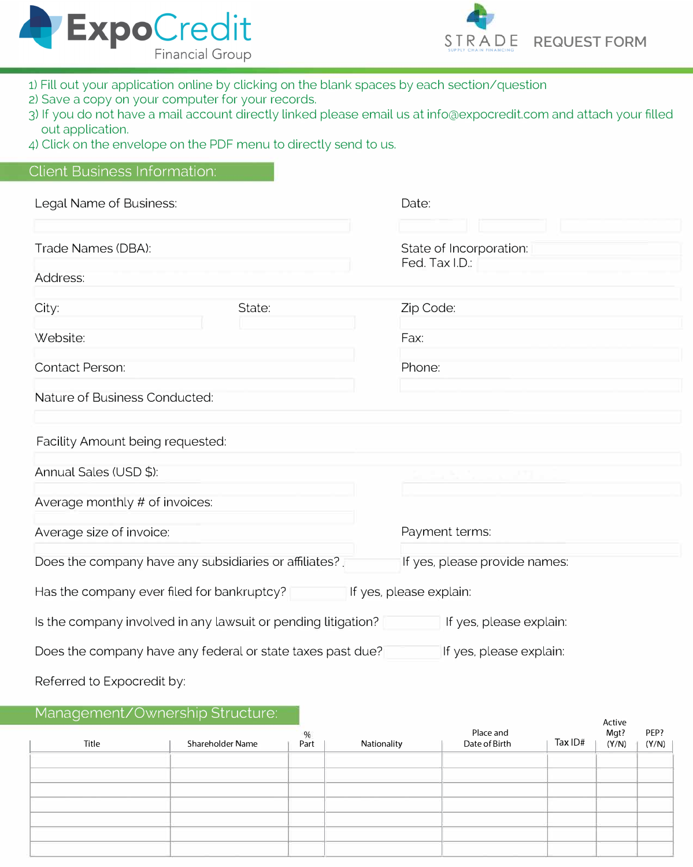



- 1) Fill out your application online by clicking on the blank spaces by each section/question
- 2) Save a copy on your computer for your records.
- 3) If you do not have a mail account directly linked please email us [at info@expocredit.com a](mailto:cpelaez@expocredit.com)nd attach your filled out application.
- 4) Click on the envelope on the PDF menu to directly send to us.

## Client Business Information:

| Legal Name of Business:                                       |        | Date:                                     |  |  |
|---------------------------------------------------------------|--------|-------------------------------------------|--|--|
| Trade Names (DBA):                                            |        | State of Incorporation:<br>Fed. Tax I.D.: |  |  |
| Address:                                                      |        |                                           |  |  |
| City:                                                         | State: | Zip Code:                                 |  |  |
| Website:                                                      |        | Fax:                                      |  |  |
| Contact Person:                                               |        | Phone:                                    |  |  |
| Nature of Business Conducted:                                 |        |                                           |  |  |
| Facility Amount being requested:                              |        |                                           |  |  |
| Annual Sales (USD \$):                                        |        |                                           |  |  |
| Average monthly # of invoices:                                |        |                                           |  |  |
| Average size of invoice:                                      |        | Payment terms:                            |  |  |
| Does the company have any subsidiaries or affiliates?         |        | If yes, please provide names:             |  |  |
| Has the company ever filed for bankruptcy?                    |        | If yes, please explain:                   |  |  |
| Is the company involved in any lawsuit or pending litigation? |        | If yes, please explain:                   |  |  |
| Does the company have any federal or state taxes past due?    |        | If yes, please explain:                   |  |  |
| Referred to Expocredit by:                                    |        |                                           |  |  |

## Management/Ownership Structure:

| __    |                  |      |             |                            |         |                |               |
|-------|------------------|------|-------------|----------------------------|---------|----------------|---------------|
|       |                  | %    |             |                            |         | Active<br>Mgt? |               |
| Title | Shareholder Name | Part | Nationality | Place and<br>Date of Birth | Tax ID# | (Y/N)          | PEP?<br>(Y/N) |
|       |                  |      |             |                            |         |                |               |
|       |                  |      |             |                            |         |                |               |
|       |                  |      |             |                            |         |                |               |
|       |                  |      |             |                            |         |                |               |
|       |                  |      |             |                            |         |                |               |
|       |                  |      |             |                            |         |                |               |
|       |                  |      |             |                            |         |                |               |